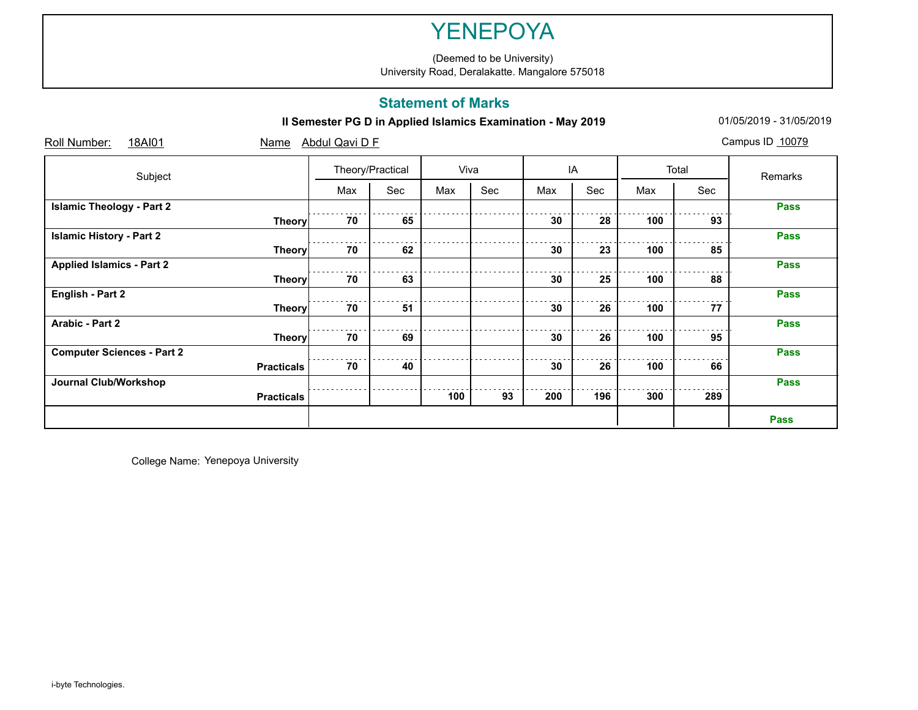(Deemed to be University) University Road, Deralakatte. Mangalore 575018

### **Statement of Marks**

**II Semester PG D in Applied Islamics Examination - May 2019** 01/05/2019 - 01/05/2019 - 31/05/2019

| Roll Number:<br>18AI01            | Abdul Qavi D F<br><u>Name</u> |     |                  | Campus ID 10079 |      |     |     |                  |       |             |
|-----------------------------------|-------------------------------|-----|------------------|-----------------|------|-----|-----|------------------|-------|-------------|
| Subject                           |                               |     | Theory/Practical |                 | Viva |     | IA  |                  | Total | Remarks     |
|                                   |                               | Max | Sec              | Max             | Sec  | Max | Sec | Max              | Sec   |             |
| <b>Islamic Theology - Part 2</b>  |                               |     |                  |                 |      |     |     |                  |       | <b>Pass</b> |
|                                   | <b>Theory</b>                 | 70  | 65               |                 |      | 30  | 28  | 100              | 93    |             |
| <b>Islamic History - Part 2</b>   |                               |     |                  |                 |      |     |     |                  |       | <b>Pass</b> |
|                                   | <b>Theory</b>                 | 70  | 62               |                 |      | 30  | 23  | 100              | 85    |             |
| <b>Applied Islamics - Part 2</b>  |                               |     |                  |                 |      |     |     |                  |       | <b>Pass</b> |
|                                   | <b>Theory</b>                 | 70  | 63               |                 |      | 30  | 25  | 100              | 88    |             |
| English - Part 2                  |                               |     |                  |                 |      |     |     |                  |       | <b>Pass</b> |
|                                   | <b>Theory</b>                 | 70  | 51               |                 |      | 30  | 26  | 100              | 77    |             |
| Arabic - Part 2                   |                               |     |                  |                 |      |     |     |                  |       | <b>Pass</b> |
|                                   | <b>Theory</b>                 | 70  | 69               |                 |      | 30  | 26  | 100 <sub>1</sub> | 95    |             |
| <b>Computer Sciences - Part 2</b> |                               |     |                  |                 |      |     |     |                  |       | <b>Pass</b> |
|                                   | <b>Practicals</b>             | 70  | 40               |                 |      | 30  | 26  | 100              | 66    |             |
| Journal Club/Workshop             |                               |     |                  |                 |      |     |     |                  |       | <b>Pass</b> |
|                                   | <b>Practicals</b>             |     |                  | 100             | 93   | 200 | 196 | 300              | 289   |             |
|                                   |                               |     |                  |                 |      |     |     |                  |       | <b>Pass</b> |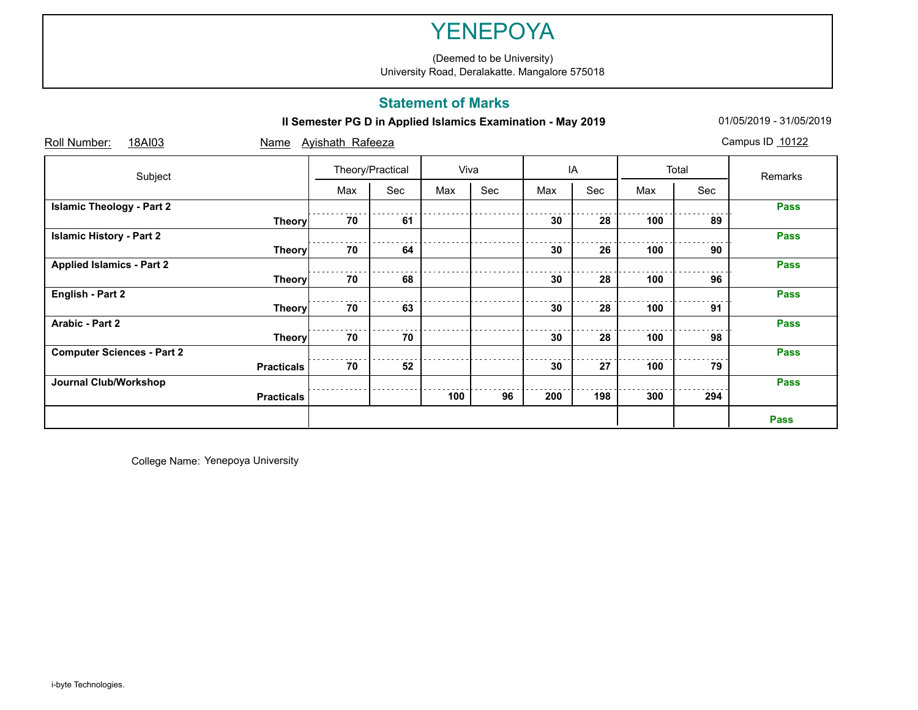(Deemed to be University) University Road, Deralakatte. Mangalore 575018

### **Statement of Marks**

**II Semester PG D in Applied Islamics Examination - May 2019** 01/05/2019 - 01/05/2019 - 31/05/2019

| Roll Number:<br>18AI03            | Name              | Ayishath Rafeeza |                  |     |      |     |     |     |       | Campus ID 10122 |
|-----------------------------------|-------------------|------------------|------------------|-----|------|-----|-----|-----|-------|-----------------|
| Subject                           |                   |                  | Theory/Practical |     | Viva |     | IA  |     | Total | Remarks         |
|                                   |                   | Max              | Sec              | Max | Sec  | Max | Sec | Max | Sec   |                 |
| <b>Islamic Theology - Part 2</b>  |                   |                  |                  |     |      |     |     |     |       | <b>Pass</b>     |
|                                   | <b>Theory</b>     | 70               | 61               |     |      | 30  | 28  | 100 | 89    |                 |
| <b>Islamic History - Part 2</b>   |                   |                  |                  |     |      |     |     |     |       | <b>Pass</b>     |
|                                   | <b>Theory</b>     | 70               | 64               |     |      | 30  | 26  | 100 | 90    |                 |
| <b>Applied Islamics - Part 2</b>  |                   |                  |                  |     |      |     |     |     |       | <b>Pass</b>     |
|                                   | <b>Theory</b>     | 70               | 68               |     |      | 30  | 28  | 100 | 96    |                 |
| English - Part 2                  |                   |                  |                  |     |      |     |     |     |       | <b>Pass</b>     |
|                                   | <b>Theory</b>     | 70               | 63               |     |      | 30  | 28  | 100 | 91    |                 |
| Arabic - Part 2                   |                   |                  |                  |     |      |     |     |     |       | <b>Pass</b>     |
|                                   | <b>Theory</b>     | 70               | 70               |     |      | 30  | 28  | 100 | 98    |                 |
| <b>Computer Sciences - Part 2</b> |                   |                  |                  |     |      |     |     |     |       | <b>Pass</b>     |
|                                   | <b>Practicals</b> | 70               | 52               |     |      | 30  | 27  | 100 | 79    |                 |
| Journal Club/Workshop             |                   |                  |                  |     |      |     |     |     |       | <b>Pass</b>     |
|                                   | <b>Practicals</b> |                  |                  | 100 | 96   | 200 | 198 | 300 | 294   |                 |
|                                   |                   |                  |                  |     |      |     |     |     |       | <b>Pass</b>     |

College Name: Yenepoya University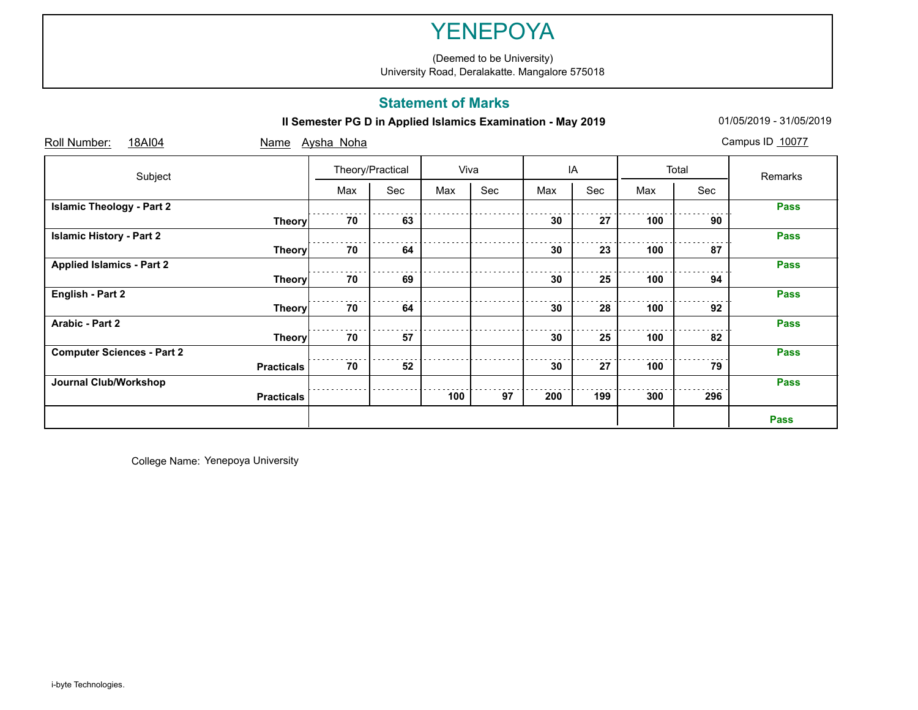(Deemed to be University) University Road, Deralakatte. Mangalore 575018

### **Statement of Marks**

**II Semester PG D in Applied Islamics Examination - May 2019** 01/05/2019 - 01/05/2019 - 31/05/2019

| Roll Number:<br>18AI04            |                   | Name Aysha Noha  |     |      |     |     |     |       |     | Campus ID 10077 |
|-----------------------------------|-------------------|------------------|-----|------|-----|-----|-----|-------|-----|-----------------|
| Subject                           |                   | Theory/Practical |     | Viva |     | IA  |     | Total |     | Remarks         |
|                                   |                   | Max              | Sec | Max  | Sec | Max | Sec | Max   | Sec |                 |
| <b>Islamic Theology - Part 2</b>  |                   |                  |     |      |     |     |     |       |     | <b>Pass</b>     |
|                                   | <b>Theory</b>     | 70               | 63  |      |     | 30  | 27  | 100   | 90  |                 |
| <b>Islamic History - Part 2</b>   |                   |                  |     |      |     |     |     |       |     | <b>Pass</b>     |
|                                   | <b>Theory</b>     | 70               | 64  |      |     | 30  | 23  | 100   | 87  |                 |
| <b>Applied Islamics - Part 2</b>  |                   |                  |     |      |     |     |     |       |     | <b>Pass</b>     |
|                                   | <b>Theory</b>     | 70               | 69  |      |     | 30  | 25  | 100   | 94  |                 |
| English - Part 2                  |                   |                  |     |      |     |     |     |       |     | <b>Pass</b>     |
|                                   | <b>Theory</b>     | 70               | 64  |      |     | 30  | 28  | 100   | 92  |                 |
| Arabic - Part 2                   |                   |                  |     |      |     |     |     |       |     | <b>Pass</b>     |
|                                   | <b>Theory</b>     | 70               | 57  |      |     | 30  | 25  | 100   | 82  |                 |
| <b>Computer Sciences - Part 2</b> |                   |                  |     |      |     |     |     |       |     | <b>Pass</b>     |
|                                   | <b>Practicals</b> | 70               | 52  |      |     | 30  | 27  | 100   | 79  |                 |
| Journal Club/Workshop             |                   |                  |     |      |     |     |     |       |     | <b>Pass</b>     |
|                                   | <b>Practicals</b> |                  |     | 100  | 97  | 200 | 199 | 300   | 296 |                 |
|                                   |                   |                  |     |      |     |     |     |       |     | <b>Pass</b>     |

College Name: Yenepoya University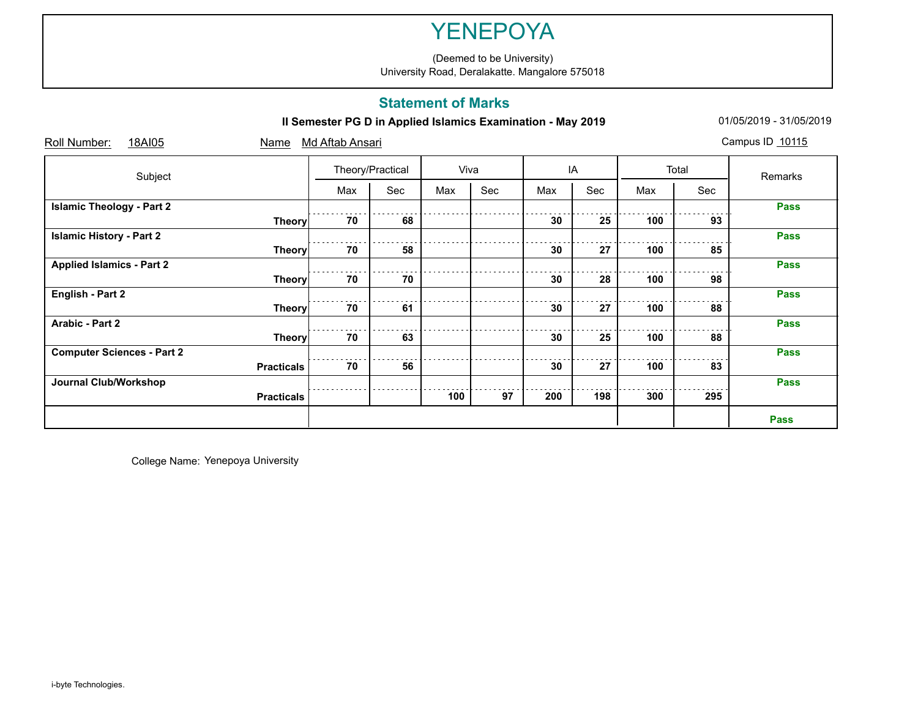(Deemed to be University) University Road, Deralakatte. Mangalore 575018

### **Statement of Marks**

**II Semester PG D in Applied Islamics Examination - May 2019** 01/05/2019 - 01/05/2019 - 31/05/2019

| Roll Number:<br>18AI05            | <b>Name</b>       | Md Aftab Ansari |                  |     |      |     |     |       |     | Campus ID 10115 |
|-----------------------------------|-------------------|-----------------|------------------|-----|------|-----|-----|-------|-----|-----------------|
| Subject                           |                   |                 | Theory/Practical |     | Viva |     | IA  | Total |     | Remarks         |
|                                   |                   | Max             | Sec              | Max | Sec  | Max | Sec | Max   | Sec |                 |
| <b>Islamic Theology - Part 2</b>  |                   |                 |                  |     |      |     |     |       |     | <b>Pass</b>     |
|                                   | <b>Theory</b>     | 70              | 68               |     |      | 30  | 25  | 100   | 93  |                 |
| <b>Islamic History - Part 2</b>   |                   |                 |                  |     |      |     |     |       |     | <b>Pass</b>     |
|                                   | <b>Theory</b>     | 70              | 58               |     |      | 30  | 27  | 100   | 85  |                 |
| <b>Applied Islamics - Part 2</b>  |                   |                 |                  |     |      |     |     |       |     | <b>Pass</b>     |
|                                   | <b>Theory</b>     | 70              | 70               |     |      | 30  | 28  | 100   | 98  |                 |
| English - Part 2                  |                   |                 |                  |     |      |     |     |       |     | <b>Pass</b>     |
|                                   | <b>Theory</b>     | 70              | 61               |     |      | 30  | 27  | 100   | 88  |                 |
| Arabic - Part 2                   |                   |                 |                  |     |      |     |     |       |     | <b>Pass</b>     |
|                                   | <b>Theory</b>     | 70              | 63               |     |      | 30  | 25  | 100   | 88  |                 |
| <b>Computer Sciences - Part 2</b> |                   |                 |                  |     |      |     |     |       |     | <b>Pass</b>     |
|                                   | <b>Practicals</b> | 70              | 56               |     |      | 30  | 27  | 100   | 83  |                 |
| Journal Club/Workshop             |                   |                 |                  |     |      |     |     |       |     | <b>Pass</b>     |
|                                   | <b>Practicals</b> |                 |                  | 100 | 97   | 200 | 198 | 300   | 295 |                 |
|                                   |                   |                 |                  |     |      |     |     |       |     | <b>Pass</b>     |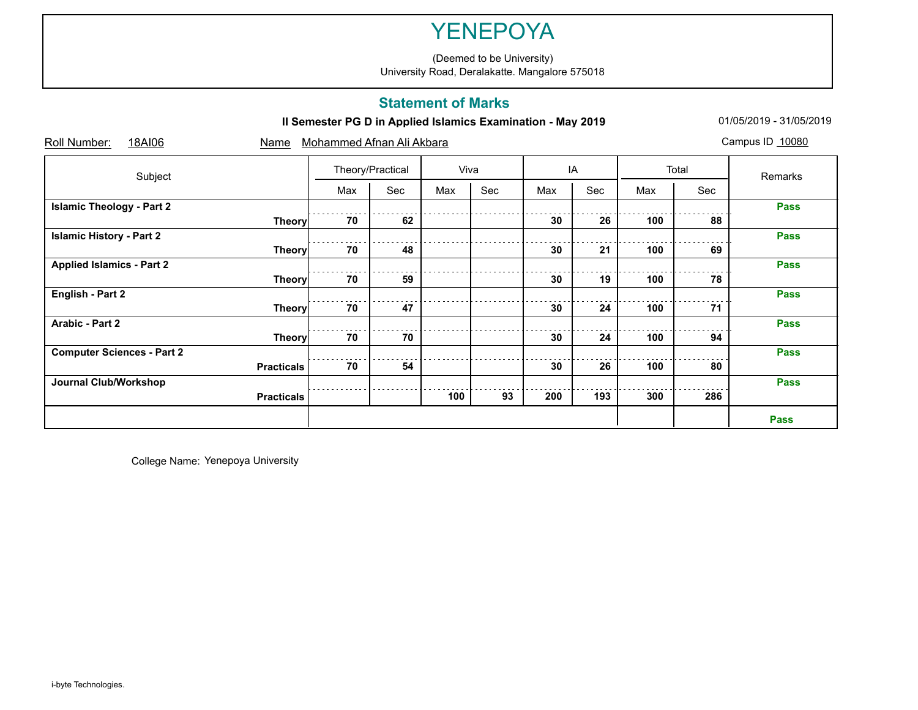(Deemed to be University) University Road, Deralakatte. Mangalore 575018

### **Statement of Marks**

**II Semester PG D in Applied Islamics Examination - May 2019** 01/05/2019 - 01/05/2019 - 31/05/2019

| Roll Number:<br>18AI06            | Mohammed Afnan Ali Akbara<br>Name |     | Campus ID 10080  |      |     |     |     |                  |     |             |
|-----------------------------------|-----------------------------------|-----|------------------|------|-----|-----|-----|------------------|-----|-------------|
| Subject                           |                                   |     | Theory/Practical | Viva |     | IA  |     | Total            |     | Remarks     |
|                                   |                                   | Max | Sec              | Max  | Sec | Max | Sec | Max              | Sec |             |
| <b>Islamic Theology - Part 2</b>  |                                   |     |                  |      |     |     |     |                  |     | <b>Pass</b> |
|                                   | <b>Theory</b>                     | 70  | 62               |      |     | 30  | 26  | 100              | 88  |             |
| <b>Islamic History - Part 2</b>   |                                   |     |                  |      |     |     |     |                  |     | <b>Pass</b> |
|                                   | <b>Theory</b>                     | 70  | 48               |      |     | 30  | 21  | 100              | 69  |             |
| <b>Applied Islamics - Part 2</b>  |                                   |     |                  |      |     |     |     |                  |     | <b>Pass</b> |
|                                   | <b>Theory</b>                     | 70  | 59               |      |     | 30  | 19  | 100              | 78  |             |
| English - Part 2                  |                                   |     |                  |      |     |     |     |                  |     | <b>Pass</b> |
|                                   | <b>Theory</b>                     | 70  | 47               |      |     | 30  | 24  | 100              | 71  |             |
| Arabic - Part 2                   |                                   |     |                  |      |     |     |     |                  |     | <b>Pass</b> |
|                                   | <b>Theory</b>                     | 70  | 70               |      |     | 30  | 24  | 100 <sub>1</sub> | 94  |             |
| <b>Computer Sciences - Part 2</b> |                                   |     |                  |      |     |     |     |                  |     | <b>Pass</b> |
|                                   | <b>Practicals</b>                 | 70  | 54               |      |     | 30  | 26  | 100              | 80  |             |
| Journal Club/Workshop             |                                   |     |                  |      |     |     |     |                  |     | <b>Pass</b> |
|                                   | <b>Practicals</b>                 |     |                  | 100  | 93  | 200 | 193 | 300              | 286 |             |
|                                   |                                   |     |                  |      |     |     |     |                  |     | <b>Pass</b> |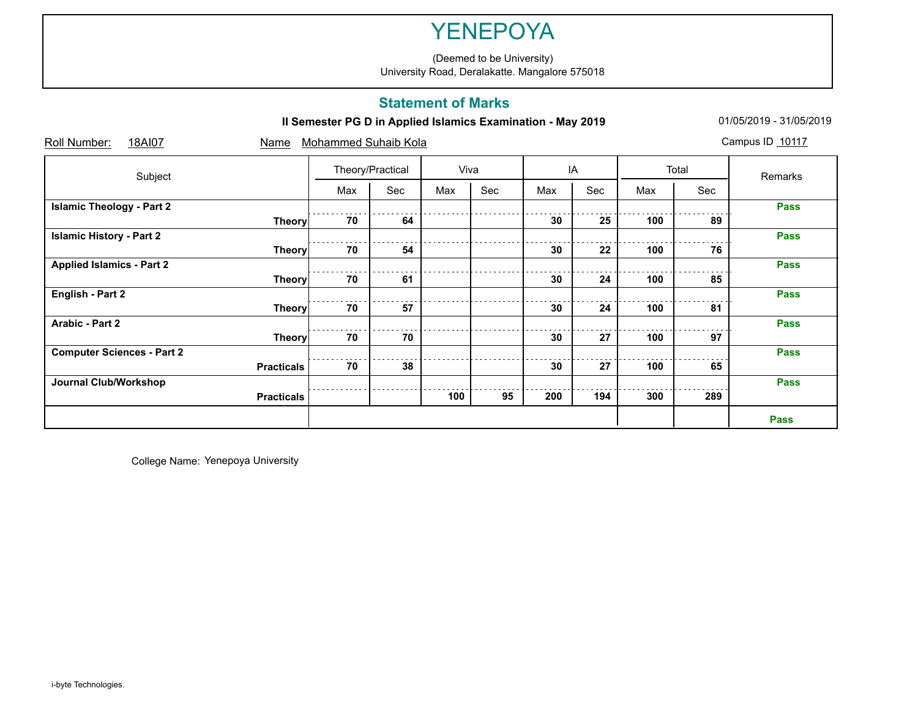(Deemed to be University) University Road, Deralakatte. Mangalore 575018

### **Statement of Marks**

**II Semester PG D in Applied Islamics Examination - May 2019** 01/05/2019 - 01/05/2019 - 31/05/2019

| Roll Number:<br>18AI07            | Name              | <b>Mohammed Suhaib Kola</b> |                  |     |      |     |     |       |     | Campus ID 10117 |
|-----------------------------------|-------------------|-----------------------------|------------------|-----|------|-----|-----|-------|-----|-----------------|
| Subject                           |                   |                             | Theory/Practical |     | Viva |     | IA  | Total |     | Remarks         |
|                                   |                   | Max                         | Sec              | Max | Sec  | Max | Sec | Max   | Sec |                 |
| <b>Islamic Theology - Part 2</b>  |                   |                             |                  |     |      |     |     |       |     | <b>Pass</b>     |
|                                   | <b>Theory</b>     | 70                          | 64               |     |      | 30  | 25  | 100   | 89  |                 |
| <b>Islamic History - Part 2</b>   |                   |                             |                  |     |      |     |     |       |     | <b>Pass</b>     |
|                                   | <b>Theory</b>     | 70                          | 54               |     |      | 30  | 22  | 100   | 76  |                 |
| <b>Applied Islamics - Part 2</b>  |                   |                             |                  |     |      |     |     |       |     | <b>Pass</b>     |
|                                   | <b>Theory</b>     | 70                          | 61               |     |      | 30  | 24  | 100   | 85  |                 |
| English - Part 2                  |                   |                             |                  |     |      |     |     |       |     | <b>Pass</b>     |
|                                   | <b>Theory</b>     | 70                          | 57               |     |      | 30  | 24  | 100   | 81  |                 |
| Arabic - Part 2                   |                   |                             |                  |     |      |     |     |       |     | <b>Pass</b>     |
|                                   | <b>Theory</b>     | 70                          | 70               |     |      | 30  | 27  | 100   | 97  |                 |
| <b>Computer Sciences - Part 2</b> |                   |                             |                  |     |      |     |     |       |     | <b>Pass</b>     |
|                                   | <b>Practicals</b> | 70                          | 38               |     |      | 30  | 27  | 100   | 65  |                 |
| Journal Club/Workshop             |                   |                             |                  |     |      |     |     |       |     | <b>Pass</b>     |
|                                   | <b>Practicals</b> |                             |                  | 100 | 95   | 200 | 194 | 300   | 289 |                 |
|                                   |                   |                             |                  |     |      |     |     |       |     | <b>Pass</b>     |

College Name: Yenepoya University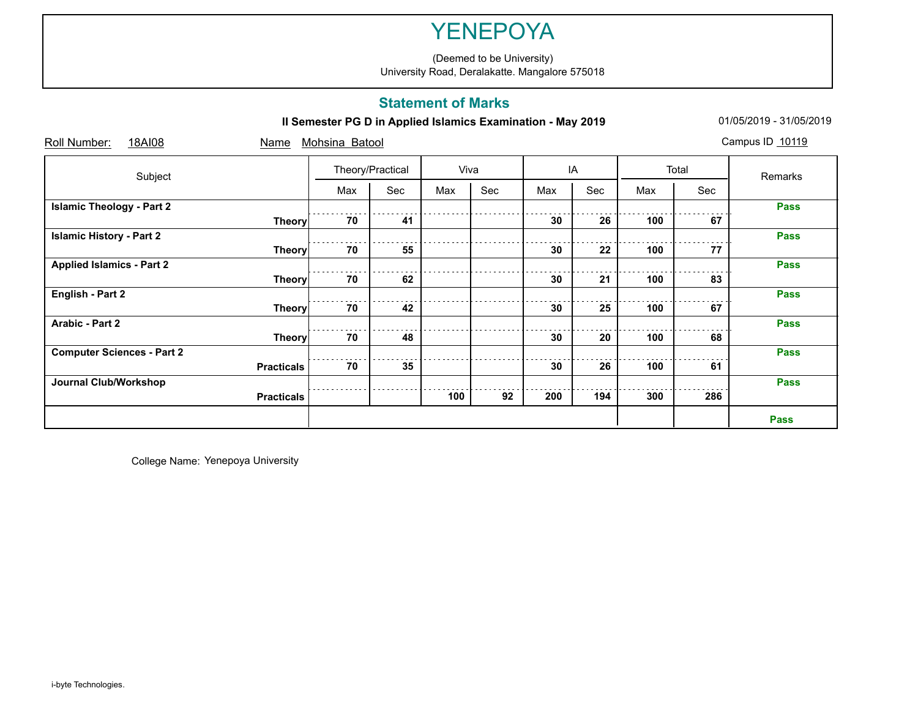(Deemed to be University) University Road, Deralakatte. Mangalore 575018

### **Statement of Marks**

**II Semester PG D in Applied Islamics Examination - May 2019** 01/05/2019 - 01/05/2019 - 31/05/2019

| Roll Number:<br>18AI08            | Name              | Mohsina Batool   |     |      |     |     |     |       |     | Campus ID 10119 |
|-----------------------------------|-------------------|------------------|-----|------|-----|-----|-----|-------|-----|-----------------|
| Subject                           |                   | Theory/Practical |     | Viva |     | IA  |     | Total |     | Remarks         |
|                                   |                   | Max              | Sec | Max  | Sec | Max | Sec | Max   | Sec |                 |
| <b>Islamic Theology - Part 2</b>  |                   |                  |     |      |     |     |     |       |     | <b>Pass</b>     |
|                                   | <b>Theory</b>     | 70               | 41  |      |     | 30  | 26  | 100   | 67  |                 |
| <b>Islamic History - Part 2</b>   |                   |                  |     |      |     |     |     |       |     | <b>Pass</b>     |
|                                   | <b>Theory</b>     | 70               | 55  |      |     | 30  | 22  | 100   | 77  |                 |
| <b>Applied Islamics - Part 2</b>  |                   |                  |     |      |     |     |     |       |     | <b>Pass</b>     |
|                                   | <b>Theory</b>     | 70               | 62  |      |     | 30  | 21  | 100   | 83  |                 |
| English - Part 2                  |                   |                  |     |      |     |     |     |       |     | <b>Pass</b>     |
|                                   | <b>Theory</b>     | 70               | 42  |      |     | 30  | 25  | 100   | 67  |                 |
| Arabic - Part 2                   |                   |                  |     |      |     |     |     |       |     | <b>Pass</b>     |
|                                   | <b>Theory</b>     | 70               | 48  |      |     | 30  | 20  | 100   | 68  |                 |
| <b>Computer Sciences - Part 2</b> |                   |                  |     |      |     |     |     |       |     | <b>Pass</b>     |
|                                   | <b>Practicals</b> | 70               | 35  |      |     | 30  | 26  | 100   | 61  |                 |
| Journal Club/Workshop             |                   |                  |     |      |     |     |     |       |     | <b>Pass</b>     |
|                                   | <b>Practicals</b> |                  |     | 100  | 92  | 200 | 194 | 300   | 286 |                 |
|                                   |                   |                  |     |      |     |     |     |       |     | <b>Pass</b>     |

College Name: Yenepoya University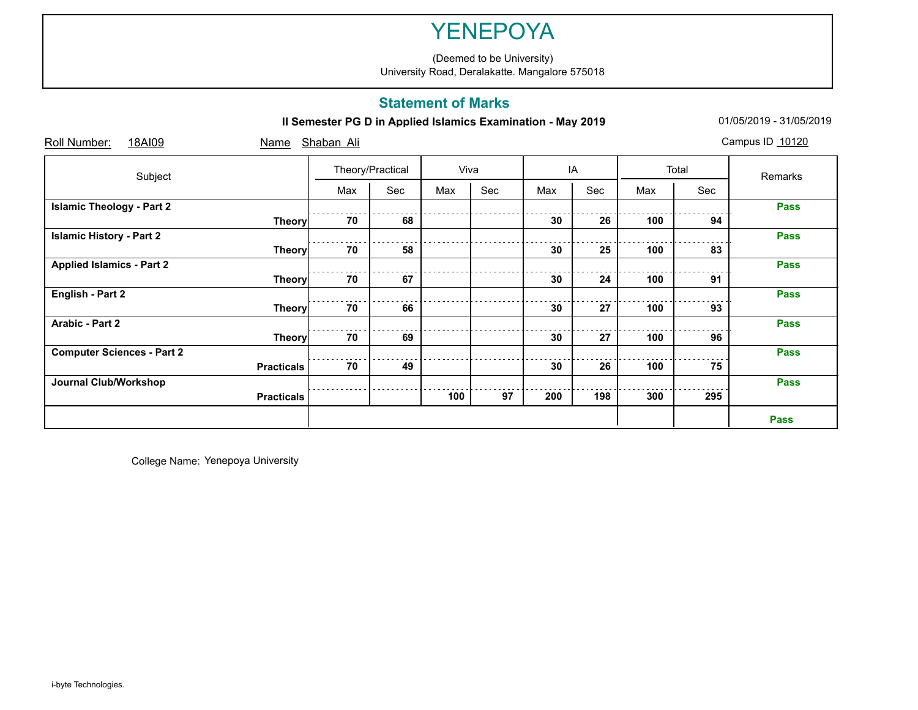(Deemed to be University) University Road, Deralakatte. Mangalore 575018

### **Statement of Marks**

**II Semester PG D in Applied Islamics Examination - May 2019** 01/05/2019 - 01/05/2019 - 31/05/2019

| 18AI09<br>Roll Number:            | Name              | Shaban Ali |                  |     |      |     |     |     |       | Campus ID 10120 |
|-----------------------------------|-------------------|------------|------------------|-----|------|-----|-----|-----|-------|-----------------|
| Subject                           |                   |            | Theory/Practical |     | Viva |     | IA  |     | Total | Remarks         |
|                                   |                   | Max        | Sec              | Max | Sec  | Max | Sec | Max | Sec   |                 |
| <b>Islamic Theology - Part 2</b>  |                   |            |                  |     |      |     |     |     |       | <b>Pass</b>     |
|                                   | <b>Theory</b>     | 70         | 68               |     |      | 30  | 26  | 100 | 94    |                 |
| <b>Islamic History - Part 2</b>   |                   |            |                  |     |      |     |     |     |       | <b>Pass</b>     |
|                                   | <b>Theory</b>     | 70         | 58               |     |      | 30  | 25  | 100 | 83    |                 |
| <b>Applied Islamics - Part 2</b>  |                   |            |                  |     |      |     |     |     |       | <b>Pass</b>     |
|                                   | <b>Theory</b>     | 70         | 67               |     |      | 30  | 24  | 100 | 91    |                 |
| English - Part 2                  |                   |            |                  |     |      |     |     |     |       | <b>Pass</b>     |
|                                   | <b>Theory</b>     | 70         | 66               |     |      | 30  | 27  | 100 | 93    |                 |
| Arabic - Part 2                   |                   |            |                  |     |      |     |     |     |       | <b>Pass</b>     |
|                                   | <b>Theory</b>     | 70         | 69               |     |      | 30  | 27  | 100 | 96    |                 |
| <b>Computer Sciences - Part 2</b> |                   |            |                  |     |      |     |     |     |       | <b>Pass</b>     |
|                                   | <b>Practicals</b> | 70         | 49               |     |      | 30  | 26  | 100 | 75    |                 |
| Journal Club/Workshop             |                   |            |                  |     |      |     |     |     |       | <b>Pass</b>     |
|                                   | <b>Practicals</b> |            |                  | 100 | 97   | 200 | 198 | 300 | 295   |                 |
|                                   |                   |            |                  |     |      |     |     |     |       | <b>Pass</b>     |

College Name: Yenepoya University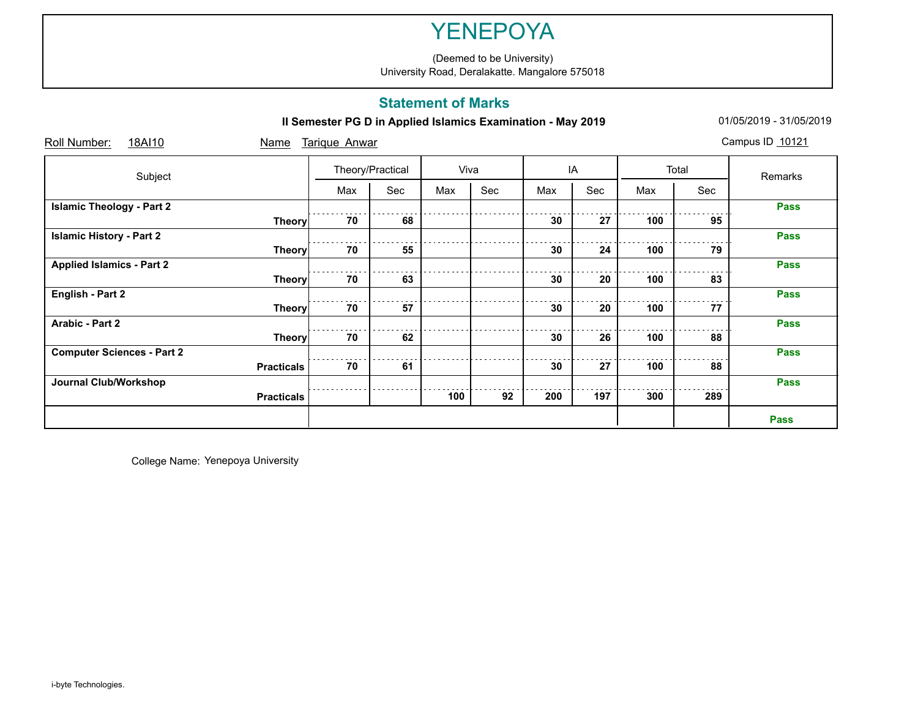(Deemed to be University) University Road, Deralakatte. Mangalore 575018

### **Statement of Marks**

**II Semester PG D in Applied Islamics Examination - May 2019** 01/05/2019 - 01/05/2019 - 31/05/2019

| Roll Number:<br>18AI10            | Name              | Tarique Anwar |                  |     |      |     |     |     |       | Campus ID 10121 |
|-----------------------------------|-------------------|---------------|------------------|-----|------|-----|-----|-----|-------|-----------------|
| Subject                           |                   |               | Theory/Practical |     | Viva |     | IA  |     | Total | Remarks         |
|                                   |                   | Max           | Sec              | Max | Sec  | Max | Sec | Max | Sec   |                 |
| <b>Islamic Theology - Part 2</b>  |                   |               |                  |     |      |     |     |     |       | <b>Pass</b>     |
|                                   | <b>Theory</b>     | 70            | 68               |     |      | 30  | 27  | 100 | 95    |                 |
| <b>Islamic History - Part 2</b>   |                   |               |                  |     |      |     |     |     |       | <b>Pass</b>     |
|                                   | <b>Theory</b>     | 70            | 55               |     |      | 30  | 24  | 100 | 79    |                 |
| <b>Applied Islamics - Part 2</b>  |                   |               |                  |     |      |     |     |     |       | <b>Pass</b>     |
|                                   | <b>Theory</b>     | 70            | 63               |     |      | 30  | 20  | 100 | 83    |                 |
| English - Part 2                  |                   |               |                  |     |      |     |     |     |       | <b>Pass</b>     |
|                                   | <b>Theory</b>     | 70            | 57               |     |      | 30  | 20  | 100 | 77    |                 |
| Arabic - Part 2                   |                   |               |                  |     |      |     |     |     |       | <b>Pass</b>     |
|                                   | <b>Theory</b>     | 70            | 62               |     |      | 30  | 26  | 100 | 88    |                 |
| <b>Computer Sciences - Part 2</b> |                   |               |                  |     |      |     |     |     |       | <b>Pass</b>     |
|                                   | <b>Practicals</b> | 70            | 61               |     |      | 30  | 27  | 100 | 88    |                 |
| Journal Club/Workshop             |                   |               |                  |     |      |     |     |     |       | <b>Pass</b>     |
|                                   | <b>Practicals</b> |               |                  | 100 | 92   | 200 | 197 | 300 | 289   |                 |
|                                   |                   |               |                  |     |      |     |     |     |       | <b>Pass</b>     |